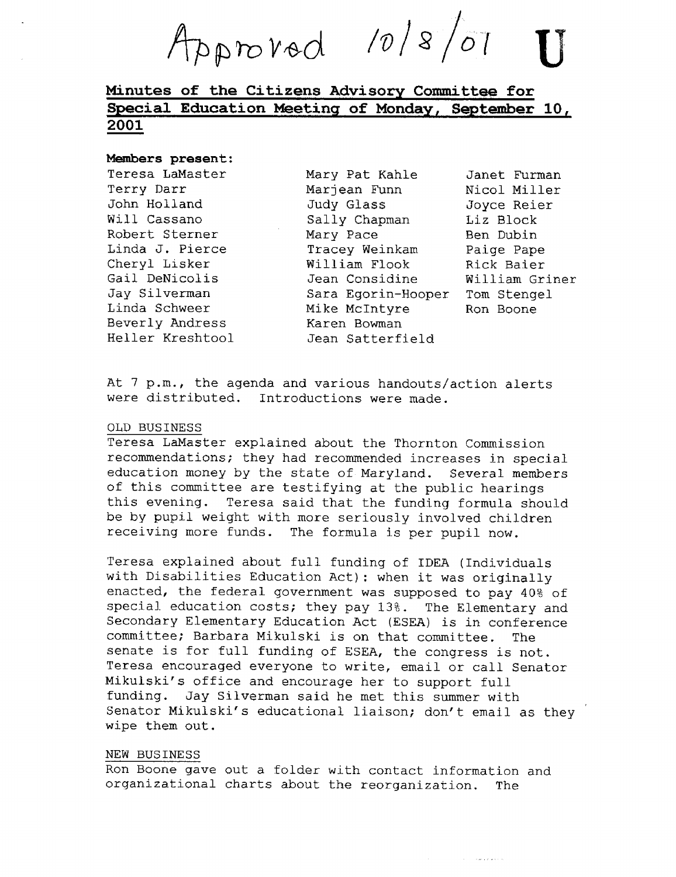provod 10/8

# Minutes of the Citizens Advisory\_Committee for Special Education Meeting of Monday, September 10, 2001

#### Members present:

Teresa LaMaster Terry Darr John Holland Will Cassano Robert Sterner Linda J. Pierce Cheryl Lisker Gail. DeNicolis Jay Silverman Linda Schweer Beverly Andress Heller Kreshtool

Mary Pat Kahle Marjean Funn Judy Glass Sally Chapman Mary Pace Tracey Weinkam William Flook Jean Considine Sara Egorin-Hooper Mike McIntyre Karen Bowman Jean Satterfield

Janet Furman Nicol Miller Joyce Reier Liz Block Ben Dubin Paige Pape Rick Baier William Griner Tom Stengel Ron Boone

At 7 p.m., the agenda and various handouts/action alerts were distributed. Introductions were made.

#### OLD BUSINESS

Teresa LaMaster explained about the Thornton Commission recommendations ; they had recommended increases in special education money by the state of Maryland. Several members of this committee are testifying at the public hearings this evening. Teresa said that the funding formula should be by pupil weight with more seriously involved children receiving more funds. The formula is per pupil now.

Teresa explained about full funding of IDEA (Individuals with Disabilities Education Act) : when it was originally enacted, the federal government was supposed to pay 40% of special education costs; they pay 13%. The Elementary and Secondary Elementary Education Act (ESEA) is in conference committee; Barbara Mikulski is on that committee. The committee; Barbara Mikulski is on that committee. senate is for full funding of ESEA, the congress is not. Teresa encouraged everyone to write, email or call Senator Mikulski's office and encourage her to support full funding. Jay Silverman said he met this summer with Senator Mikulski's educational liaison; don't email as they wipe them out.

## NEW BUSINESS

Ron Boone gave out a folder with contact information and organizational charts about the reorganization. The

and the company of the com-